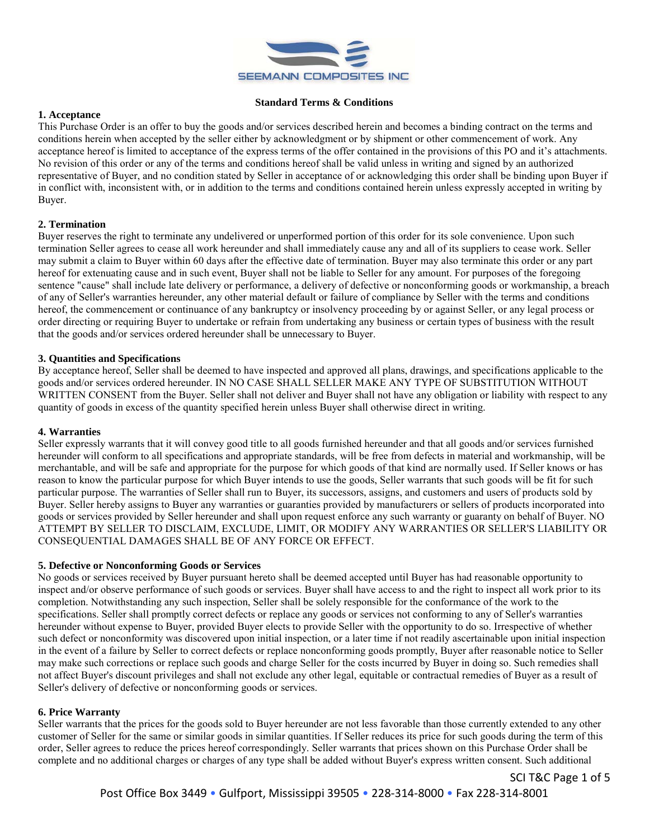

#### **Standard Terms & Conditions**

### **1. Acceptance**

This Purchase Order is an offer to buy the goods and/or services described herein and becomes a binding contract on the terms and conditions herein when accepted by the seller either by acknowledgment or by shipment or other commencement of work. Any acceptance hereof is limited to acceptance of the express terms of the offer contained in the provisions of this PO and it's attachments. No revision of this order or any of the terms and conditions hereof shall be valid unless in writing and signed by an authorized representative of Buyer, and no condition stated by Seller in acceptance of or acknowledging this order shall be binding upon Buyer if in conflict with, inconsistent with, or in addition to the terms and conditions contained herein unless expressly accepted in writing by Buyer.

# **2. Termination**

Buyer reserves the right to terminate any undelivered or unperformed portion of this order for its sole convenience. Upon such termination Seller agrees to cease all work hereunder and shall immediately cause any and all of its suppliers to cease work. Seller may submit a claim to Buyer within 60 days after the effective date of termination. Buyer may also terminate this order or any part hereof for extenuating cause and in such event, Buyer shall not be liable to Seller for any amount. For purposes of the foregoing sentence "cause" shall include late delivery or performance, a delivery of defective or nonconforming goods or workmanship, a breach of any of Seller's warranties hereunder, any other material default or failure of compliance by Seller with the terms and conditions hereof, the commencement or continuance of any bankruptcy or insolvency proceeding by or against Seller, or any legal process or order directing or requiring Buyer to undertake or refrain from undertaking any business or certain types of business with the result that the goods and/or services ordered hereunder shall be unnecessary to Buyer.

### **3. Quantities and Specifications**

By acceptance hereof, Seller shall be deemed to have inspected and approved all plans, drawings, and specifications applicable to the goods and/or services ordered hereunder. IN NO CASE SHALL SELLER MAKE ANY TYPE OF SUBSTITUTION WITHOUT WRITTEN CONSENT from the Buyer. Seller shall not deliver and Buyer shall not have any obligation or liability with respect to any quantity of goods in excess of the quantity specified herein unless Buyer shall otherwise direct in writing.

#### **4. Warranties**

Seller expressly warrants that it will convey good title to all goods furnished hereunder and that all goods and/or services furnished hereunder will conform to all specifications and appropriate standards, will be free from defects in material and workmanship, will be merchantable, and will be safe and appropriate for the purpose for which goods of that kind are normally used. If Seller knows or has reason to know the particular purpose for which Buyer intends to use the goods, Seller warrants that such goods will be fit for such particular purpose. The warranties of Seller shall run to Buyer, its successors, assigns, and customers and users of products sold by Buyer. Seller hereby assigns to Buyer any warranties or guaranties provided by manufacturers or sellers of products incorporated into goods or services provided by Seller hereunder and shall upon request enforce any such warranty or guaranty on behalf of Buyer. NO ATTEMPT BY SELLER TO DISCLAIM, EXCLUDE, LIMIT, OR MODIFY ANY WARRANTIES OR SELLER'S LIABILITY OR CONSEQUENTIAL DAMAGES SHALL BE OF ANY FORCE OR EFFECT.

# **5. Defective or Nonconforming Goods or Services**

No goods or services received by Buyer pursuant hereto shall be deemed accepted until Buyer has had reasonable opportunity to inspect and/or observe performance of such goods or services. Buyer shall have access to and the right to inspect all work prior to its completion. Notwithstanding any such inspection, Seller shall be solely responsible for the conformance of the work to the specifications. Seller shall promptly correct defects or replace any goods or services not conforming to any of Seller's warranties hereunder without expense to Buyer, provided Buyer elects to provide Seller with the opportunity to do so. Irrespective of whether such defect or nonconformity was discovered upon initial inspection, or a later time if not readily ascertainable upon initial inspection in the event of a failure by Seller to correct defects or replace nonconforming goods promptly, Buyer after reasonable notice to Seller may make such corrections or replace such goods and charge Seller for the costs incurred by Buyer in doing so. Such remedies shall not affect Buyer's discount privileges and shall not exclude any other legal, equitable or contractual remedies of Buyer as a result of Seller's delivery of defective or nonconforming goods or services.

#### **6. Price Warranty**

Seller warrants that the prices for the goods sold to Buyer hereunder are not less favorable than those currently extended to any other customer of Seller for the same or similar goods in similar quantities. If Seller reduces its price for such goods during the term of this order, Seller agrees to reduce the prices hereof correspondingly. Seller warrants that prices shown on this Purchase Order shall be complete and no additional charges or charges of any type shall be added without Buyer's express written consent. Such additional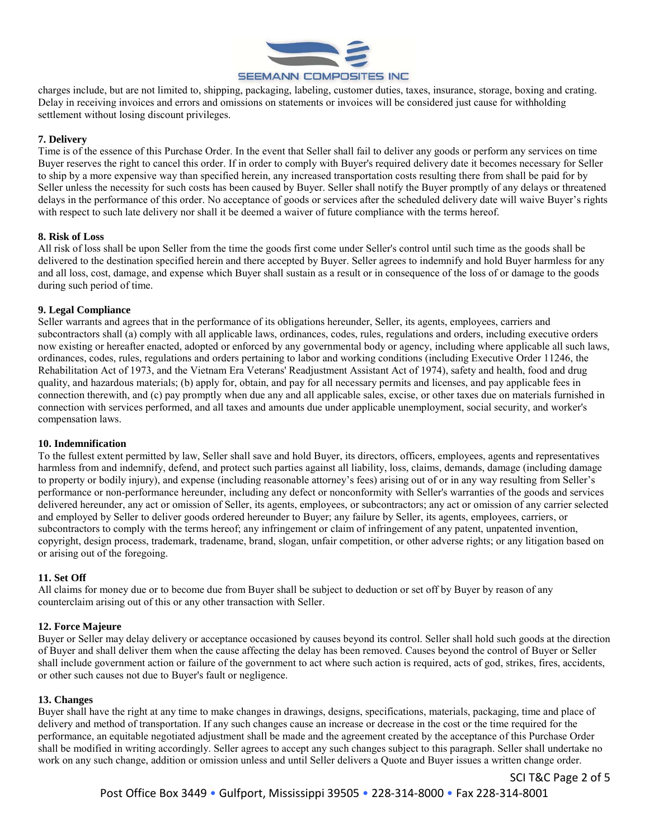

charges include, but are not limited to, shipping, packaging, labeling, customer duties, taxes, insurance, storage, boxing and crating. Delay in receiving invoices and errors and omissions on statements or invoices will be considered just cause for withholding settlement without losing discount privileges.

# **7. Delivery**

Time is of the essence of this Purchase Order. In the event that Seller shall fail to deliver any goods or perform any services on time Buyer reserves the right to cancel this order. If in order to comply with Buyer's required delivery date it becomes necessary for Seller to ship by a more expensive way than specified herein, any increased transportation costs resulting there from shall be paid for by Seller unless the necessity for such costs has been caused by Buyer. Seller shall notify the Buyer promptly of any delays or threatened delays in the performance of this order. No acceptance of goods or services after the scheduled delivery date will waive Buyer's rights with respect to such late delivery nor shall it be deemed a waiver of future compliance with the terms hereof.

# **8. Risk of Loss**

All risk of loss shall be upon Seller from the time the goods first come under Seller's control until such time as the goods shall be delivered to the destination specified herein and there accepted by Buyer. Seller agrees to indemnify and hold Buyer harmless for any and all loss, cost, damage, and expense which Buyer shall sustain as a result or in consequence of the loss of or damage to the goods during such period of time.

# **9. Legal Compliance**

Seller warrants and agrees that in the performance of its obligations hereunder, Seller, its agents, employees, carriers and subcontractors shall (a) comply with all applicable laws, ordinances, codes, rules, regulations and orders, including executive orders now existing or hereafter enacted, adopted or enforced by any governmental body or agency, including where applicable all such laws, ordinances, codes, rules, regulations and orders pertaining to labor and working conditions (including Executive Order 11246, the Rehabilitation Act of 1973, and the Vietnam Era Veterans' Readjustment Assistant Act of 1974), safety and health, food and drug quality, and hazardous materials; (b) apply for, obtain, and pay for all necessary permits and licenses, and pay applicable fees in connection therewith, and (c) pay promptly when due any and all applicable sales, excise, or other taxes due on materials furnished in connection with services performed, and all taxes and amounts due under applicable unemployment, social security, and worker's compensation laws.

# **10. Indemnification**

To the fullest extent permitted by law, Seller shall save and hold Buyer, its directors, officers, employees, agents and representatives harmless from and indemnify, defend, and protect such parties against all liability, loss, claims, demands, damage (including damage to property or bodily injury), and expense (including reasonable attorney's fees) arising out of or in any way resulting from Seller's performance or non-performance hereunder, including any defect or nonconformity with Seller's warranties of the goods and services delivered hereunder, any act or omission of Seller, its agents, employees, or subcontractors; any act or omission of any carrier selected and employed by Seller to deliver goods ordered hereunder to Buyer; any failure by Seller, its agents, employees, carriers, or subcontractors to comply with the terms hereof; any infringement or claim of infringement of any patent, unpatented invention, copyright, design process, trademark, tradename, brand, slogan, unfair competition, or other adverse rights; or any litigation based on or arising out of the foregoing.

# **11. Set Off**

All claims for money due or to become due from Buyer shall be subject to deduction or set off by Buyer by reason of any counterclaim arising out of this or any other transaction with Seller.

# **12. Force Majeure**

Buyer or Seller may delay delivery or acceptance occasioned by causes beyond its control. Seller shall hold such goods at the direction of Buyer and shall deliver them when the cause affecting the delay has been removed. Causes beyond the control of Buyer or Seller shall include government action or failure of the government to act where such action is required, acts of god, strikes, fires, accidents, or other such causes not due to Buyer's fault or negligence.

# **13. Changes**

Buyer shall have the right at any time to make changes in drawings, designs, specifications, materials, packaging, time and place of delivery and method of transportation. If any such changes cause an increase or decrease in the cost or the time required for the performance, an equitable negotiated adjustment shall be made and the agreement created by the acceptance of this Purchase Order shall be modified in writing accordingly. Seller agrees to accept any such changes subject to this paragraph. Seller shall undertake no work on any such change, addition or omission unless and until Seller delivers a Quote and Buyer issues a written change order.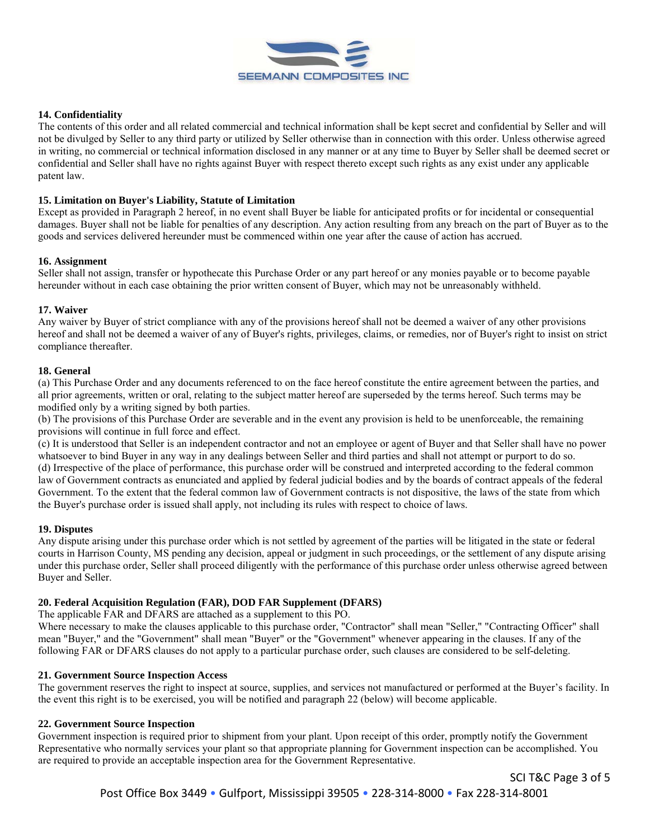

### **14. Confidentiality**

The contents of this order and all related commercial and technical information shall be kept secret and confidential by Seller and will not be divulged by Seller to any third party or utilized by Seller otherwise than in connection with this order. Unless otherwise agreed in writing, no commercial or technical information disclosed in any manner or at any time to Buyer by Seller shall be deemed secret or confidential and Seller shall have no rights against Buyer with respect thereto except such rights as any exist under any applicable patent law.

#### **15. Limitation on Buyer's Liability, Statute of Limitation**

Except as provided in Paragraph 2 hereof, in no event shall Buyer be liable for anticipated profits or for incidental or consequential damages. Buyer shall not be liable for penalties of any description. Any action resulting from any breach on the part of Buyer as to the goods and services delivered hereunder must be commenced within one year after the cause of action has accrued.

#### **16. Assignment**

Seller shall not assign, transfer or hypothecate this Purchase Order or any part hereof or any monies payable or to become payable hereunder without in each case obtaining the prior written consent of Buyer, which may not be unreasonably withheld.

### **17. Waiver**

Any waiver by Buyer of strict compliance with any of the provisions hereof shall not be deemed a waiver of any other provisions hereof and shall not be deemed a waiver of any of Buyer's rights, privileges, claims, or remedies, nor of Buyer's right to insist on strict compliance thereafter.

#### **18. General**

(a) This Purchase Order and any documents referenced to on the face hereof constitute the entire agreement between the parties, and all prior agreements, written or oral, relating to the subject matter hereof are superseded by the terms hereof. Such terms may be modified only by a writing signed by both parties.

(b) The provisions of this Purchase Order are severable and in the event any provision is held to be unenforceable, the remaining provisions will continue in full force and effect.

(c) It is understood that Seller is an independent contractor and not an employee or agent of Buyer and that Seller shall have no power whatsoever to bind Buyer in any way in any dealings between Seller and third parties and shall not attempt or purport to do so. (d) Irrespective of the place of performance, this purchase order will be construed and interpreted according to the federal common law of Government contracts as enunciated and applied by federal judicial bodies and by the boards of contract appeals of the federal Government. To the extent that the federal common law of Government contracts is not dispositive, the laws of the state from which the Buyer's purchase order is issued shall apply, not including its rules with respect to choice of laws.

#### **19. Disputes**

Any dispute arising under this purchase order which is not settled by agreement of the parties will be litigated in the state or federal courts in Harrison County, MS pending any decision, appeal or judgment in such proceedings, or the settlement of any dispute arising under this purchase order, Seller shall proceed diligently with the performance of this purchase order unless otherwise agreed between Buyer and Seller.

# **20. Federal Acquisition Regulation (FAR), DOD FAR Supplement (DFARS)**

The applicable FAR and DFARS are attached as a supplement to this PO.

Where necessary to make the clauses applicable to this purchase order, "Contractor" shall mean "Seller," "Contracting Officer" shall mean "Buyer," and the "Government" shall mean "Buyer" or the "Government" whenever appearing in the clauses. If any of the following FAR or DFARS clauses do not apply to a particular purchase order, such clauses are considered to be self-deleting.

### **21. Government Source Inspection Access**

The government reserves the right to inspect at source, supplies, and services not manufactured or performed at the Buyer's facility. In the event this right is to be exercised, you will be notified and paragraph 22 (below) will become applicable.

#### **22. Government Source Inspection**

Government inspection is required prior to shipment from your plant. Upon receipt of this order, promptly notify the Government Representative who normally services your plant so that appropriate planning for Government inspection can be accomplished. You are required to provide an acceptable inspection area for the Government Representative.

SCI T&C Page 3 of 5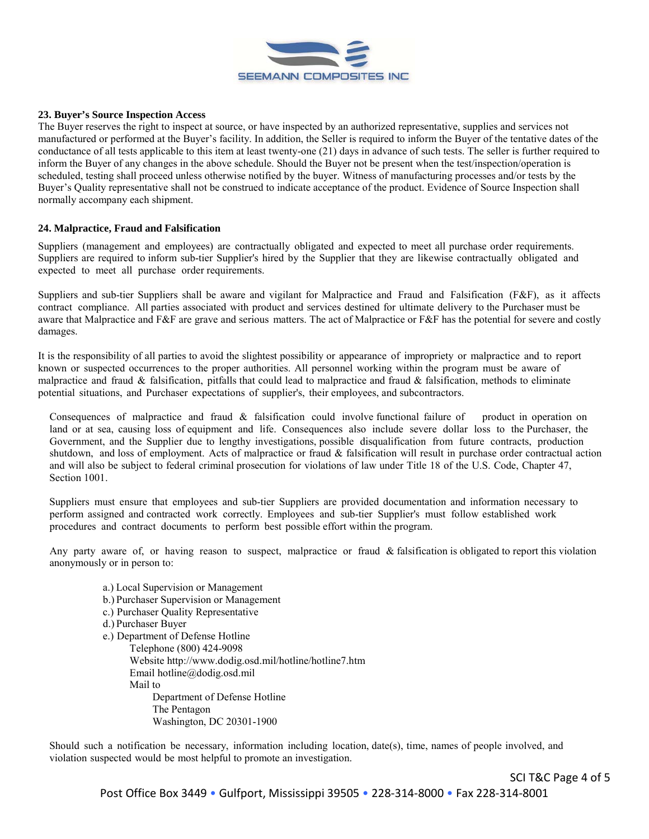

#### **23. Buyer's Source Inspection Access**

The Buyer reserves the right to inspect at source, or have inspected by an authorized representative, supplies and services not manufactured or performed at the Buyer's facility. In addition, the Seller is required to inform the Buyer of the tentative dates of the conductance of all tests applicable to this item at least twenty-one (21) days in advance of such tests. The seller is further required to inform the Buyer of any changes in the above schedule. Should the Buyer not be present when the test/inspection/operation is scheduled, testing shall proceed unless otherwise notified by the buyer. Witness of manufacturing processes and/or tests by the Buyer's Quality representative shall not be construed to indicate acceptance of the product. Evidence of Source Inspection shall normally accompany each shipment.

#### **24. Malpractice, Fraud and Falsification**

Suppliers (management and employees) are contractually obligated and expected to meet all purchase order requirements. Suppliers are required to inform sub-tier Supplier's hired by the Supplier that they are likewise contractually obligated and expected to meet all purchase order requirements.

Suppliers and sub-tier Suppliers shall be aware and vigilant for Malpractice and Fraud and Falsification (F&F), as it affects contract compliance. All parties associated with product and services destined for ultimate delivery to the Purchaser must be aware that Malpractice and F&F are grave and serious matters. The act of Malpractice or F&F has the potential for severe and costly damages.

It is the responsibility of all parties to avoid the slightest possibility or appearance of impropriety or malpractice and to report known or suspected occurrences to the proper authorities. All personnel working within the program must be aware of malpractice and fraud & falsification, pitfalls that could lead to malpractice and fraud & falsification, methods to eliminate potential situations, and Purchaser expectations of supplier's, their employees, and subcontractors.

Consequences of malpractice and fraud & falsification could involve functional failure of product in operation on land or at sea, causing loss of equipment and life. Consequences also include severe dollar loss to the Purchaser, the Government, and the Supplier due to lengthy investigations, possible disqualification from future contracts, production shutdown, and loss of employment. Acts of malpractice or fraud & falsification will result in purchase order contractual action and will also be subject to federal criminal prosecution for violations of law under Title 18 of the U.S. Code, Chapter 47, Section 1001.

Suppliers must ensure that employees and sub-tier Suppliers are provided documentation and information necessary to perform assigned and contracted work correctly. Employees and sub-tier Supplier's must follow established work procedures and contract documents to perform best possible effort within the program.

Any party aware of, or having reason to suspect, malpractice or fraud & falsification is obligated to report this violation anonymously or in person to:

a.) Local Supervision or Management b.) Purchaser Supervision or Management c.) Purchaser Quality Representative d.) Purchaser Buyer e.) Department of Defense Hotline Telephone (800) 424-9098 Websit[e http://www.dodig.osd.mil/hotline/hotline7.htm](http://www.dodig.osd.mil/hotline/hotline7.htm) Email hotline@dodig.osd.mil Mail to Department of Defense Hotline The Pentagon Washington, DC 20301-1900

Should such a notification be necessary, information including location, date(s), time, names of people involved, and violation suspected would be most helpful to promote an investigation.

SCI T&C Page 4 of 5